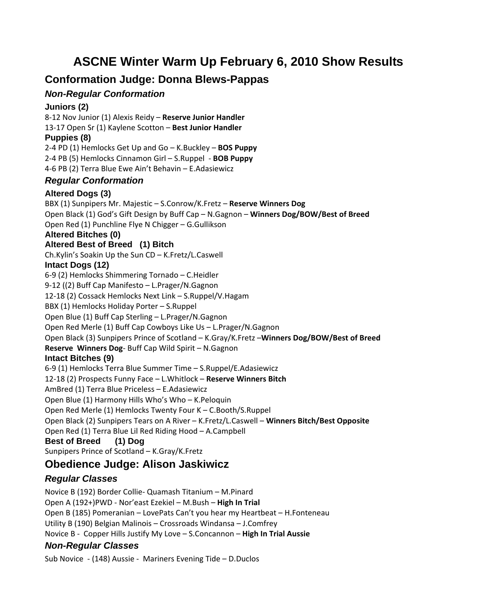# **ASCNE Winter Warm Up February 6, 2010 Show Results**

# **Conformation Judge: Donna Blews-Pappas**

## *Non-Regular Conformation*

#### **Juniors (2)**

‐12 Nov Junior (1) Alexis Reidy – **Reserve Junior Handler** ‐17 Open Sr (1) Kaylene Scotton – **Best Junior Handler Puppies (8)**  ‐4 PD (1) Hemlocks Get Up and Go – K.Buckley – **BOS Puppy** ‐4 PB (5) Hemlocks Cinnamon Girl – S.Ruppel ‐ **BOB Puppy** ‐6 PB (2) Terra Blue Ewe Ain't Behavin – E.Adasiewicz

#### *Regular Conformation*

#### **Altered Dogs (3)**

BBX (1) Sunpipers Mr. Majestic – S.Conrow/K.Fretz – **Reserve Winners Dog** Open Black (1) God's Gift Design by Buff Cap – N.Gagnon – **Winners Dog/BOW/Best of Breed** Open Red (1) Punchline Flye N Chigger – G.Gullikson

#### **Altered Bitches (0)**

#### **Altered Best of Breed (1) Bitch**

Ch.Kylin's Soakin Up the Sun CD – K.Fretz/L.Caswell

#### **Intact Dogs (12)**

6‐9 (2) Hemlocks Shimmering Tornado – C.Heidler 9‐12 ((2) Buff Cap Manifesto – L.Prager/N.Gagnon 12‐18 (2) Cossack Hemlocks Next Link – S.Ruppel/V.Hagam BBX (1) Hemlocks Holiday Porter – S.Ruppel Open Blue (1) Buff Cap Sterling – L.Prager/N.Gagnon Open Red Merle (1) Buff Cap Cowboys Like Us – L.Prager/N.Gagnon Open Black (3) Sunpipers Prince of Scotland – K.Gray/K.Fretz –**Winners Dog/BOW/Best of Breed Reserve Winners Dog**‐ Buff Cap Wild Spirit – N.Gagnon **Intact Bitches (9)**  6‐9 (1) Hemlocks Terra Blue Summer Time – S.Ruppel/E.Adasiewicz 12‐18 (2) Prospects Funny Face – L.Whitlock – **Reserve Winners Bitch** AmBred (1) Terra Blue Priceless – E.Adasiewicz Open Blue (1) Harmony Hills Who's Who – K.Peloquin Open Red Merle (1) Hemlocks Twenty Four K – C.Booth/S.Ruppel Open Black (2) Sunpipers Tears on A River – K.Fretz/L.Caswell – **Winners Bitch/Best Opposite**

Open Red (1) Terra Blue Lil Red Riding Hood – A.Campbell

# **Best of Breed (1) Dog**

Sunpipers Prince of Scotland – K.Gray/K.Fretz

# **Obedience Judge: Alison Jaskiwicz**

# *Regular Classes*

Novice B (192) Border Collie‐ Quamash Titanium – M.Pinard Open A (192+)PWD ‐ Nor'east Ezekiel – M.Bush – **High In Trial** Open B (185) Pomeranian – LovePats Can't you hear my Heartbeat – H.Fonteneau Utility B (190) Belgian Malinois – Crossroads Windansa – J.Comfrey Novice B ‐ Copper Hills Justify My Love – S.Concannon – **High In Trial Aussie**

# *Non-Regular Classes*

Sub Novice ‐ (148) Aussie ‐ Mariners Evening Tide – D.Duclos